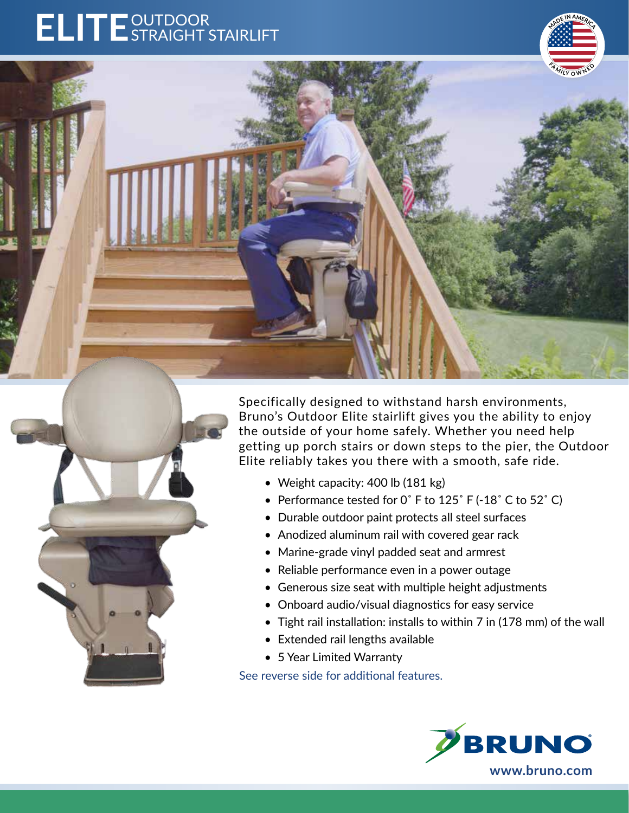# ELITE<sup>OUTDOOR</sup>



Specifically designed to withstand harsh environments, Bruno's Outdoor Elite stairlift gives you the ability to enjoy the outside of your home safely. Whether you need help getting up porch stairs or down steps to the pier, the Outdoor Elite reliably takes you there with a smooth, safe ride.

- Weight capacity: 400 lb (181 kg)
- Performance tested for 0° F to 125° F (-18° C to 52° C)
- Durable outdoor paint protects all steel surfaces
- Anodized aluminum rail with covered gear rack
- Marine-grade vinyl padded seat and armrest
- Reliable performance even in a power outage
- Generous size seat with multiple height adjustments
- Onboard audio/visual diagnostics for easy service
- Tight rail installation: installs to within 7 in (178 mm) of the wall
- Extended rail lengths available
- 5 Year Limited Warranty

See reverse side for additional features.



**<sup>F</sup><sup>A</sup> <sup>M</sup> <sup>I</sup>L<sup>Y</sup> <sup>O</sup> <sup>W</sup> <sup>N</sup> <sup>E</sup> <sup>D</sup>**

**MAD<sup>E</sup> <sup>I</sup><sup>N</sup> <sup>A</sup>MER<sup>I</sup>CA**